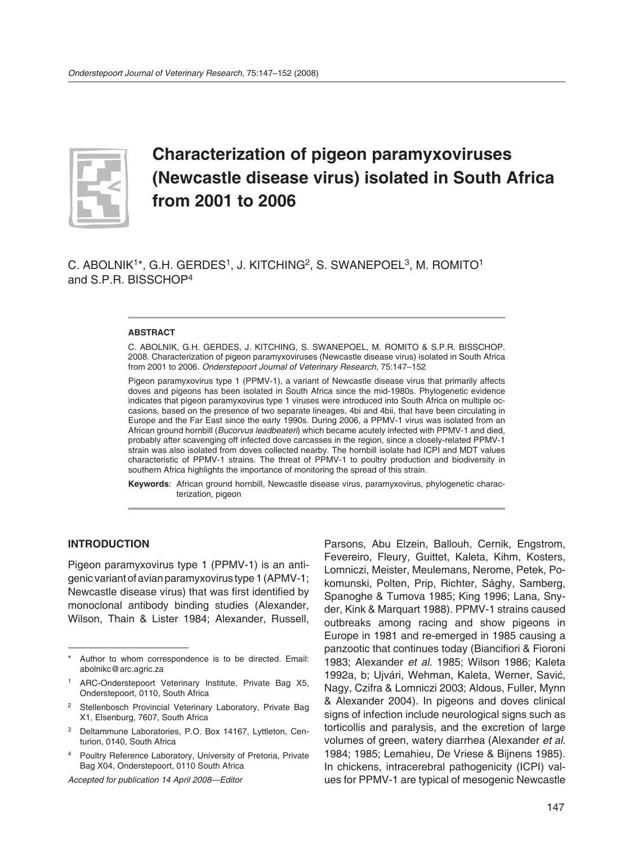

# **Characterization of pigeon paramyxoviruses (Newcastle disease virus) isolated in South Africa from 2001 to 2006**

C. ABOLNIK1\*, G.H. GERDES1, J. KITCHING2, S. SWANEPOEL3, M. ROMITO1 and S.P.R. BISSCHOP4

#### **ABSTRACT**

C. ABOLNIK, G.H. GERDES, J. KITCHING, S. SWANEPOEL, M. ROMITO & S.P.R. BISSCHOP. 2008. Characterization of pigeon paramyxoviruses (Newcastle disease virus) isolated in South Africa from 2001 to 2006. *Onderstepoort Journal of Veterinary Research*, 75:147–152

Pigeon paramyxovirus type 1 (PPMV-1), a variant of Newcastle disease virus that primarily affects doves and pigeons has been isolated in South Africa since the mid-1980s. Phylogenetic evidence indicates that pigeon paramyxovirus type 1 viruses were introduced into South Africa on multiple occasions, based on the presence of two separate lineages, 4bi and 4bii, that have been circulating in Europe and the Far East since the early 1990s. During 2006, a PPMV-1 virus was isolated from an African ground hornbill (*Bucorvus leadbeateri*) which became acutely infected with PPMV-1 and died, probably after scavenging off infected dove carcasses in the region, since a closely-related PPMV-1 strain was also isolated from doves collected nearby. The hornbill isolate had ICPI and MDT values characteristic of PPMV-1 strains. The threat of PPMV-1 to poultry production and biodiversity in southern Africa highlights the importance of monitoring the spread of this strain.

**Keywords**: African ground hornbill, Newcastle disease virus, paramyxovirus, phylogenetic characterization, pigeon

#### **INTRODUCTION**

Pigeon paramyxovirus type 1 (PPMV-1) is an antigenic variant of avian paramyxovirus type 1 (APMV-1; Newcastle disease virus) that was first identified by monoclonal antibody binding studies (Alexander, Wilson, Thain & Lister 1984; Alexander, Russell,

*Accepted for publication 14 April 2008—Editor*

Parsons, Abu Elzein, Ballouh, Cernik, Engstrom, Fevereiro, Fleury, Guittet, Kaleta, Kihm, Kosters, Lomniczi, Meister, Meulemans, Nerome, Petek, Pokomunski, Polten, Prip, Richter, Sághy, Samberg, Spanoghe & Tumova 1985; King 1996; Lana, Snyder, Kink & Marquart 1988). PPMV-1 strains caused outbreaks among racing and show pigeons in Europe in 1981 and re-emerged in 1985 causing a panzootic that continues today (Biancifiori & Fioroni 1983; Alexander *et al.* 1985; Wilson 1986; Kaleta 1992a, b; Ujvári, Wehman, Kaleta, Werner, Savić, Nagy, Czifra & Lomniczi 2003; Aldous, Fuller, Mynn & Alexander 2004). In pigeons and doves clinical signs of infection include neurological signs such as torticollis and paralysis, and the excretion of large volumes of green, watery diarrhea (Alexander *et al.* 1984; 1985; Lemahieu, De Vriese & Bijnens 1985). In chickens, intracerebral pathogenicity (ICPI) values for PPMV-1 are typical of mesogenic Newcastle

Author to whom correspondence is to be directed. Email: abolnikc@arc.agric.za

<sup>1</sup> ARC-Onderstepoort Veterinary Institute, Private Bag X5, Onderstepoort, 0110, South Africa

Stellenbosch Provincial Veterinary Laboratory, Private Bag X1, Elsenburg, 7607, South Africa

<sup>3</sup> Deltammune Laboratories, P.O. Box 14167, Lyttleton, Centurion, 0140, South Africa

<sup>4</sup> Poultry Reference Laboratory, University of Pretoria, Private Bag X04, Onderstepoort, 0110 South Africa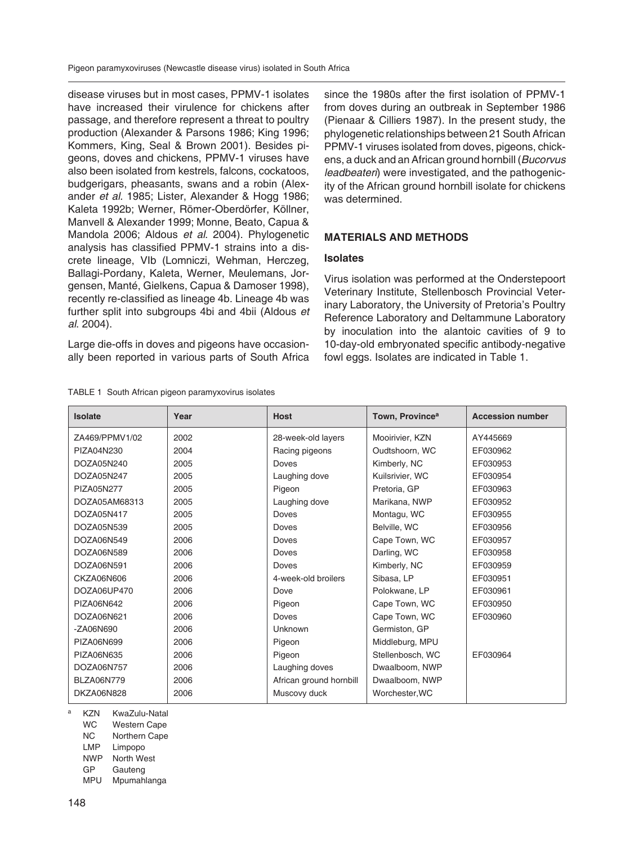Pigeon paramyxoviruses (Newcastle disease virus) isolated in South Africa

disease viruses but in most cases, PPMV-1 isolates have increased their virulence for chickens after passage, and therefore represent a threat to poultry production (Alexander & Parsons 1986; King 1996; Kommers, King, Seal & Brown 2001). Besides pigeons, doves and chickens, PPMV-1 viruses have also been isolated from kestrels, falcons, cockatoos, budgerigars, pheasants, swans and a robin (Alexander *et al.* 1985; Lister, Alexander & Hogg 1986; Kaleta 1992b; Werner, Römer-Oberdörfer, Köllner, Manvell & Alexander 1999; Monne, Beato, Capua & Mandola 2006; Aldous *et al*. 2004). Phylogenetic analysis has classified PPMV-1 strains into a discrete lineage, VIb (Lomniczi, Wehman, Herczeg, Ballagi-Pordany, Kaleta, Werner, Meulemans, Jorgensen, Manté, Gielkens, Capua & Damoser 1998), recently re-classified as lineage 4b. Lineage 4b was further split into subgroups 4bi and 4bii (Aldous *et al*. 2004).

Large die-offs in doves and pigeons have occasionally been reported in various parts of South Africa

TABLE 1 South African pigeon paramyxovirus isolates

since the 1980s after the first isolation of PPMV-1 from doves during an outbreak in September 1986 (Pienaar & Cilliers 1987). In the present study, the phylogenetic relationships between 21 South African PPMV-1 viruses isolated from doves, pigeons, chickens, a duck and an African ground hornbill (*Bucorvus leadbeateri*) were investigated, and the pathogenicity of the African ground hornbill isolate for chickens was determined.

# **MATERIALS AND METHODS**

### **Isolates**

Virus isolation was performed at the Onderstepoort Veterinary Institute, Stellenbosch Provincial Veterinary Laboratory, the University of Pretoria's Poultry Reference Laboratory and Deltammune Laboratory by inoculation into the alantoic cavities of 9 to 10-day-old embryonated specific antibody-negative fowl eggs. Isolates are indicated in Table 1.

| Isolate           | Year | <b>Host</b>             | Town, Province <sup>a</sup> | <b>Accession number</b> |
|-------------------|------|-------------------------|-----------------------------|-------------------------|
| ZA469/PPMV1/02    | 2002 | 28-week-old layers      | Mooirivier, KZN             | AY445669                |
| PIZA04N230        | 2004 | Racing pigeons          | Oudtshoorn, WC              | EF030962                |
| DOZA05N240        | 2005 | Doves                   | Kimberly, NC                | EF030953                |
| DOZA05N247        | 2005 | Laughing dove           | Kuilsrivier, WC             | EF030954                |
| PIZA05N277        | 2005 | Pigeon                  | Pretoria, GP                | EF030963                |
| DOZA05AM68313     | 2005 | Laughing dove           | Marikana, NWP               | EF030952                |
| DOZA05N417        | 2005 | Doves                   | Montagu, WC                 | EF030955                |
| DOZA05N539        | 2005 | Doves                   | Belville, WC                | EF030956                |
| DOZA06N549        | 2006 | Doves                   | Cape Town, WC               | EF030957                |
| DOZA06N589        | 2006 | Doves                   | Darling, WC                 | EF030958                |
| DOZA06N591        | 2006 | Doves                   | Kimberly, NC                | EF030959                |
| CKZA06N606        | 2006 | 4-week-old broilers     | Sibasa, LP                  | EF030951                |
| DOZA06UP470       | 2006 | Dove                    | Polokwane, LP               | EF030961                |
| PIZA06N642        | 2006 | Pigeon                  | Cape Town, WC               | EF030950                |
| DOZA06N621        | 2006 | Doves                   | Cape Town, WC               | EF030960                |
| -ZA06N690         | 2006 | <b>Unknown</b>          | Germiston, GP               |                         |
| PIZA06N699        | 2006 | Pigeon                  | Middleburg, MPU             |                         |
| PIZA06N635        | 2006 | Pigeon                  | Stellenbosch, WC            | EF030964                |
| DOZA06N757        | 2006 | Laughing doves          | Dwaalboom, NWP              |                         |
| <b>BLZA06N779</b> | 2006 | African ground hornbill | Dwaalboom, NWP              |                         |
| DKZA06N828        | 2006 | Muscovy duck            | Worchester, WC              |                         |

KZN KwaZulu-Natal

WC Western Cape

NC Northern Cape

LMP Limpopo

NWP North West

GP Gauteng

MPU Mpumahlanga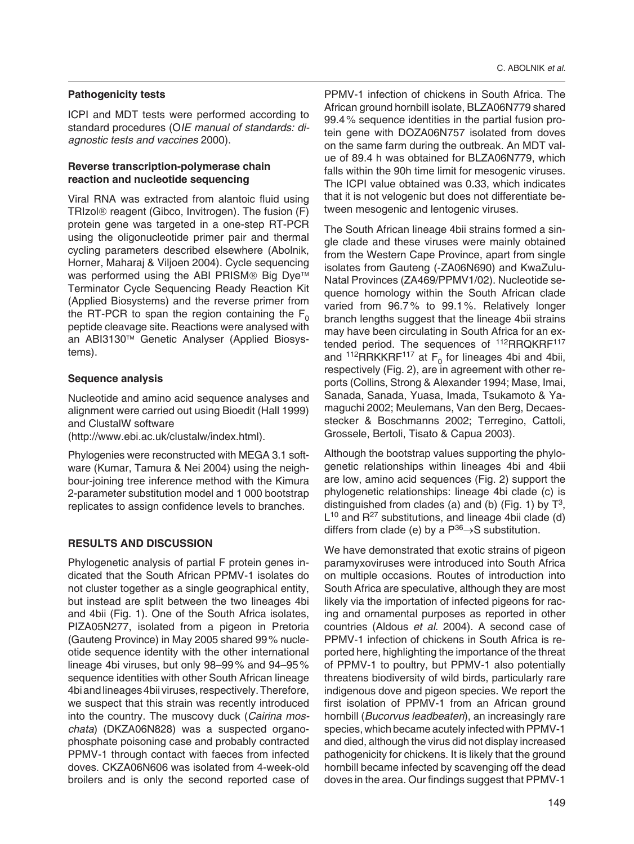#### **Pathogenicity tests**

ICPI and MDT tests were performed according to standard procedures (O*IE manual of standards: diagnostic tests and vaccines* 2000).

#### **Reverse transcription-polymerase chain reaction and nucleotide sequencing**

Viral RNA was extracted from alantoic fluid using TRIzol® reagent (Gibco, Invitrogen). The fusion (F) protein gene was targeted in a one-step RT-PCR using the oligonucleotide primer pair and thermal cycling parameters described elsewhere (Abolnik, Horner, Maharaj & Viljoen 2004). Cycle sequencing was performed using the ABI PRISM® Big Dve™ Terminator Cycle Sequencing Ready Reaction Kit (Applied Biosystems) and the reverse primer from the RT-PCR to span the region containing the  $F_0$ peptide cleavage site. Reactions were analysed with an ABI3130™ Genetic Analyser (Applied Biosystems).

### **Sequence analysis**

Nucleotide and amino acid sequence analyses and alignment were carried out using Bioedit (Hall 1999) and ClustalW software

(http://www.ebi.ac.uk/clustalw/index.html).

Phylogenies were reconstructed with MEGA 3.1 software (Kumar, Tamura & Nei 2004) using the neighbour-joining tree inference method with the Kimura 2-parameter substitution model and 1 000 bootstrap replicates to assign confidence levels to branches.

## **RESULTS AND DISCUSSION**

Phylogenetic analysis of partial F protein genes indicated that the South African PPMV-1 isolates do not cluster together as a single geographical entity, but instead are split between the two lineages 4bi and 4bii (Fig. 1). One of the South Africa isolates, PIZA05N277, isolated from a pigeon in Pretoria (Gauteng Province) in May 2005 shared 99% nucleotide sequence identity with the other international lineage 4bi viruses, but only 98–99 % and 94–95 % sequence identities with other South African lineage 4bi and lineages 4bii viruses, respectively. Therefore, we suspect that this strain was recently introduced into the country. The muscovy duck (*Cairina moschata*) (DKZA06N828) was a suspected organophosphate poisoning case and probably contracted PPMV-1 through contact with faeces from infected doves. CKZA06N606 was isolated from 4-week-old broilers and is only the second reported case of PPMV-1 infection of chickens in South Africa. The African ground hornbill isolate, BLZA06N779 shared 99.4 % sequence identities in the partial fusion protein gene with DOZA06N757 isolated from doves on the same farm during the outbreak. An MDT value of 89.4 h was obtained for BLZA06N779, which falls within the 90h time limit for mesogenic viruses. The ICPI value obtained was 0.33, which indicates that it is not velogenic but does not differentiate between mesogenic and lentogenic viruses.

The South African lineage 4bii strains formed a single clade and these viruses were mainly obtained from the Western Cape Province, apart from single isolates from Gauteng (-ZA06N690) and KwaZulu-Natal Provinces (ZA469/PPMV1/02). Nucleotide sequence homology within the South African clade varied from 96.7 % to 99.1 %. Relatively longer branch lengths suggest that the lineage 4bii strains may have been circulating in South Africa for an extended period. The sequences of <sup>112</sup>RRQKRF<sup>117</sup> and <sup>112</sup>RRKKRF<sup>117</sup> at F<sub>0</sub> for lineages 4bi and 4bii, respectively (Fig. 2), are in agreement with other reports (Collins, Strong & Alexander 1994; Mase, Imai, Sanada, Sanada, Yuasa, Imada, Tsukamoto & Yamaguchi 2002; Meulemans, Van den Berg, Decaesstecker & Boschmanns 2002; Terregino, Cattoli, Grossele, Bertoli, Tisato & Capua 2003).

Although the bootstrap values supporting the phylogenetic relationships within lineages 4bi and 4bii are low, amino acid sequences (Fig. 2) support the phylogenetic relationships: lineage 4bi clade (c) is distinguished from clades (a) and (b) (Fig. 1) by  $T^3$ ,  $L^{10}$  and  $R^{27}$  substitutions, and lineage 4bii clade (d) differs from clade (e) by a  $P^{36} \rightarrow S$  substitution.

We have demonstrated that exotic strains of pigeon paramyxoviruses were introduced into South Africa on multiple occasions. Routes of introduction into South Africa are speculative, although they are most likely via the importation of infected pigeons for racing and ornamental purposes as reported in other countries (Aldous *et al*. 2004). A second case of PPMV-1 infection of chickens in South Africa is reported here, highlighting the importance of the threat of PPMV-1 to poultry, but PPMV-1 also potentially threatens biodiversity of wild birds, particularly rare indigenous dove and pigeon species. We report the first isolation of PPMV-1 from an African ground hornbill (*Bucorvus leadbeateri*), an increasingly rare species, which became acutely infected with PPMV-1 and died, although the virus did not display increased pathogenicity for chickens. It is likely that the ground hornbill became infected by scavenging off the dead doves in the area. Our findings suggest that PPMV-1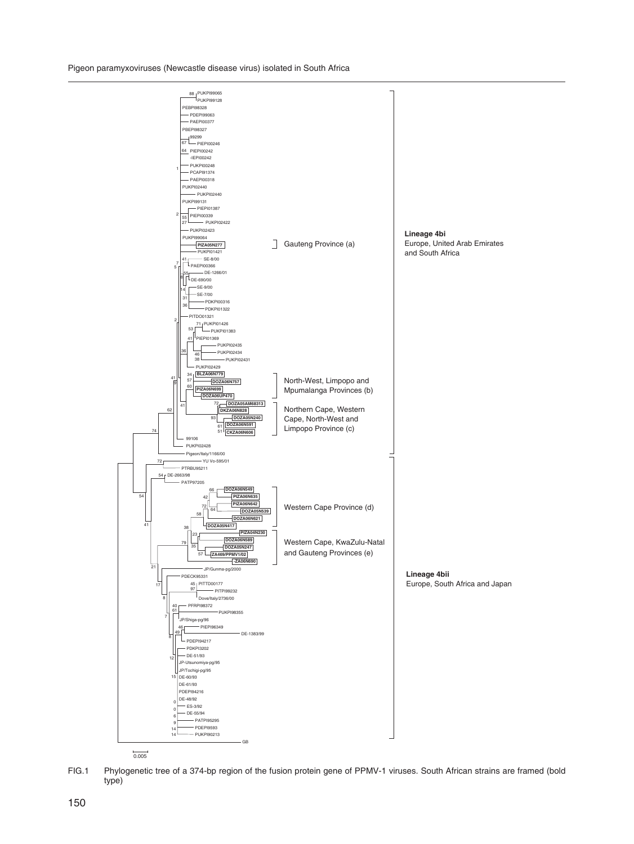Pigeon paramyxoviruses (Newcastle disease virus) isolated in South Africa



FIG.1 Phylogenetic tree of a 374-bp region of the fusion protein gene of PPMV-1 viruses. South African strains are framed (bold type)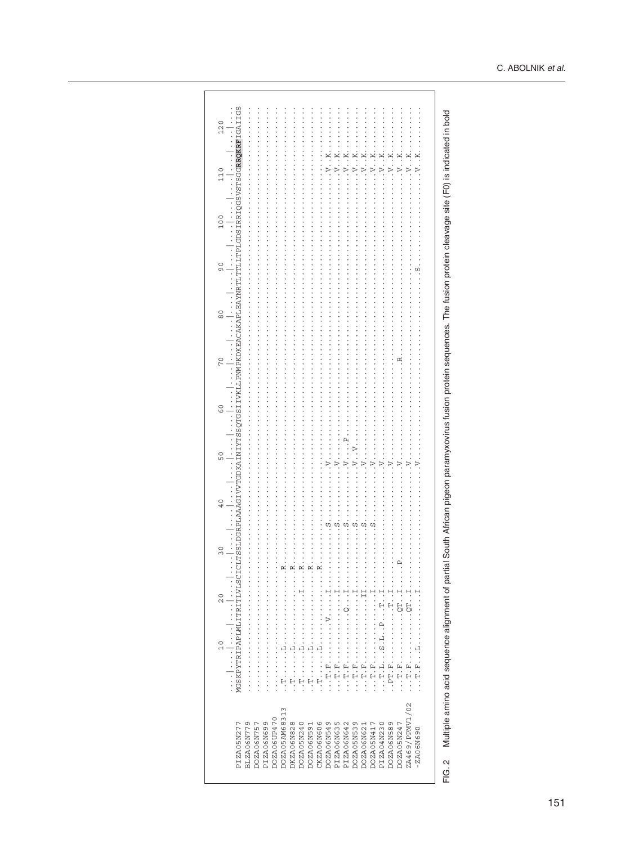MGSKPYTRIPAPLMLITRITLVLSCICLTSSLDGRPLAAAGIVVTGDKAINIYTSSOTGSIIVKLLPMMPKDKEACAKAPLEAYMRTLTFLGDSIRRIOGSV3TSGG**RRRF**IGS  $\begin{split} &\dots, \texttt{w}.\texttt{u}.\texttt{u}.\texttt{u}.\texttt{u}.\texttt{u}.\texttt{u}.\texttt{u}.\texttt{u}.\texttt{u}.\texttt{u}.\texttt{u}.\texttt{u}.\texttt{u}.\texttt{u}.\texttt{u}.\texttt{u}.\texttt{u}.\texttt{u}.\texttt{u}.\texttt{u}.\texttt{u}.\texttt{u}.\texttt{u}.\texttt{u}.\texttt{u}.\texttt{u}.\texttt{u}.\texttt{u}.\texttt{u}.\texttt{u}.\texttt{u}.\texttt{u}.\texttt{u}.\texttt{u}.\$  $120$  $\begin{array}{c}\n\vdots \\
\vdots \\
\vdots \\
\vdots\n\end{array}$  $110$  $\begin{array}{c}\n\hline\n\end{array}$ 100  $\begin{array}{c}\n\hline\n\end{array}$  $\ddot{\phantom{0}}$  $\overline{6}$  $\overline{a}$  $\frac{0}{8}$  $\ddot{\phantom{0}}$  $\overline{C}$  $\ddot{\phantom{0}}$  $\frac{0}{5}$  $\ddot{\cdot}$  $\ddot{\phantom{0}}$ 50 **D**  $\frac{1}{2}$  $40$  $\ddot{\phantom{a}}$  $30$  $\ddot{\cdot}$  $\vdots$   $\vdots$   $\vdots$   $\vdots$   $\vdots$   $\vdots$   $\vdots$   $\vdots$   $\vdots$   $\vdots$   $\vdots$   $\vdots$   $\vdots$   $\vdots$   $\vdots$   $\vdots$   $\vdots$   $\vdots$   $\vdots$   $\vdots$   $\vdots$   $\vdots$   $\vdots$   $\vdots$   $\vdots$   $\vdots$   $\vdots$   $\vdots$   $\vdots$   $\vdots$   $\vdots$   $\vdots$   $\vdots$   $\vdots$   $\vdots$   $\vdots$   $\vdots$  $20$  $\ddot{\cdot}$  $\ddot{\phantom{0}}$  $10$  $\cdot$ ZA469/PPMV1/02 DOZA05AM68313 PIZA06N699<br>DOZA06UP470 PIZAO6N635<br>PIZAO6N642<br>DOZAO5N539 DOZA06N757 DKZA06N828 DOZA05N240 DOZA06N549 PIZA05N277 BLZA06N779 DOZA06N591 CKZA06N606 **PIZA04N230** DOZA06N589 DOZA05N247 DOZA05N417 DOZA06N621  $-2A06N690$